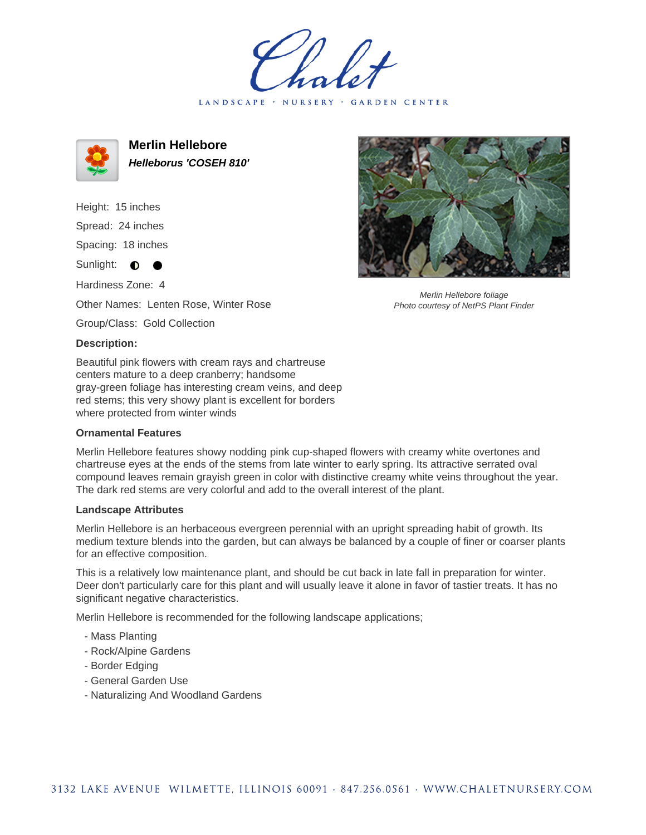LANDSCAPE · NURSERY · GARDEN CENTER



**Merlin Hellebore Helleborus 'COSEH 810'**

Height: 15 inches

Spread: 24 inches

Spacing: 18 inches

Sunlight: **O**  $\bullet$ 

Hardiness Zone: 4

Other Names: Lenten Rose, Winter Rose

Group/Class: Gold Collection

## **Description:**

Beautiful pink flowers with cream rays and chartreuse centers mature to a deep cranberry; handsome gray-green foliage has interesting cream veins, and deep red stems; this very showy plant is excellent for borders where protected from winter winds

## **Ornamental Features**

Merlin Hellebore features showy nodding pink cup-shaped flowers with creamy white overtones and chartreuse eyes at the ends of the stems from late winter to early spring. Its attractive serrated oval compound leaves remain grayish green in color with distinctive creamy white veins throughout the year. The dark red stems are very colorful and add to the overall interest of the plant.

## **Landscape Attributes**

Merlin Hellebore is an herbaceous evergreen perennial with an upright spreading habit of growth. Its medium texture blends into the garden, but can always be balanced by a couple of finer or coarser plants for an effective composition.

This is a relatively low maintenance plant, and should be cut back in late fall in preparation for winter. Deer don't particularly care for this plant and will usually leave it alone in favor of tastier treats. It has no significant negative characteristics.

Merlin Hellebore is recommended for the following landscape applications;

- Mass Planting
- Rock/Alpine Gardens
- Border Edging
- General Garden Use
- Naturalizing And Woodland Gardens



Merlin Hellebore foliage Photo courtesy of NetPS Plant Finder